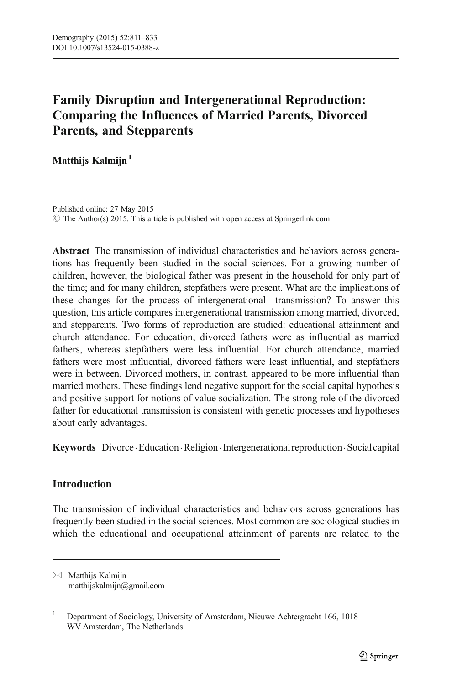# Family Disruption and Intergenerational Reproduction: Comparing the Influences of Married Parents, Divorced Parents, and Stepparents

Matthijs Kalmijn $<sup>1</sup>$ </sup>

Published online: 27 May 2015  $\odot$  The Author(s) 2015. This article is published with open access at Springerlink.com

Abstract The transmission of individual characteristics and behaviors across generations has frequently been studied in the social sciences. For a growing number of children, however, the biological father was present in the household for only part of the time; and for many children, stepfathers were present. What are the implications of these changes for the process of intergenerational transmission? To answer this question, this article compares intergenerational transmission among married, divorced, and stepparents. Two forms of reproduction are studied: educational attainment and church attendance. For education, divorced fathers were as influential as married fathers, whereas stepfathers were less influential. For church attendance, married fathers were most influential, divorced fathers were least influential, and stepfathers were in between. Divorced mothers, in contrast, appeared to be more influential than married mothers. These findings lend negative support for the social capital hypothesis and positive support for notions of value socialization. The strong role of the divorced father for educational transmission is consistent with genetic processes and hypotheses about early advantages.

Keywords Divorce Education Religion Intergenerational reproduction Social capital

### Introduction

The transmission of individual characteristics and behaviors across generations has frequently been studied in the social sciences. Most common are sociological studies in which the educational and occupational attainment of parents are related to the

 $\boxtimes$  Matthijs Kalmijn matthijskalmijn@gmail.com

<sup>&</sup>lt;sup>1</sup> Department of Sociology, University of Amsterdam, Nieuwe Achtergracht 166, 1018 WV Amsterdam, The Netherlands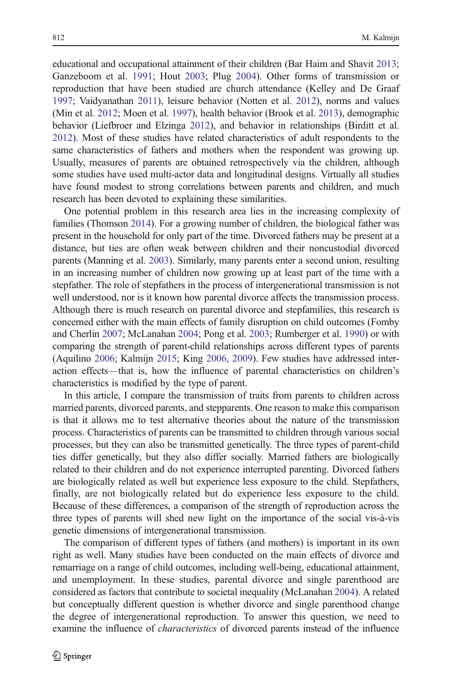educational and occupational attainment of their children (Bar Haim and Shavit [2013;](#page-20-0) Ganzeboom et al. [1991](#page-21-0); Hout [2003;](#page-21-0) Plug [2004](#page-22-0)). Other forms of transmission or reproduction that have been studied are church attendance (Kelley and De Graaf [1997;](#page-21-0) Vaidyanathan [2011](#page-22-0)), leisure behavior (Notten et al. [2012\)](#page-22-0), norms and values (Min et al. [2012](#page-21-0); Moen et al. [1997\)](#page-21-0), health behavior (Brook et al. [2013](#page-20-0)), demographic behavior (Liefbroer and Elzinga [2012](#page-21-0)), and behavior in relationships (Birditt et al. [2012\)](#page-20-0). Most of these studies have related characteristics of adult respondents to the same characteristics of fathers and mothers when the respondent was growing up. Usually, measures of parents are obtained retrospectively via the children, although some studies have used multi-actor data and longitudinal designs. Virtually all studies have found modest to strong correlations between parents and children, and much research has been devoted to explaining these similarities.

One potential problem in this research area lies in the increasing complexity of families (Thomson [2014\)](#page-22-0). For a growing number of children, the biological father was present in the household for only part of the time. Divorced fathers may be present at a distance, but ties are often weak between children and their noncustodial divorced parents (Manning et al. [2003](#page-21-0)). Similarly, many parents enter a second union, resulting in an increasing number of children now growing up at least part of the time with a stepfather. The role of stepfathers in the process of intergenerational transmission is not well understood, nor is it known how parental divorce affects the transmission process. Although there is much research on parental divorce and stepfamilies, this research is concerned either with the main effects of family disruption on child outcomes (Fomby and Cherlin [2007;](#page-21-0) McLanahan [2004;](#page-21-0) Pong et al. [2003](#page-22-0); Rumberger et al. [1990\)](#page-22-0) or with comparing the strength of parent-child relationships across different types of parents (Aquilino [2006;](#page-20-0) Kalmijn [2015;](#page-21-0) King [2006](#page-21-0), [2009\)](#page-21-0). Few studies have addressed interaction effects—that is, how the influence of parental characteristics on children's characteristics is modified by the type of parent.

In this article, I compare the transmission of traits from parents to children across married parents, divorced parents, and stepparents. One reason to make this comparison is that it allows me to test alternative theories about the nature of the transmission process. Characteristics of parents can be transmitted to children through various social processes, but they can also be transmitted genetically. The three types of parent-child ties differ genetically, but they also differ socially. Married fathers are biologically related to their children and do not experience interrupted parenting. Divorced fathers are biologically related as well but experience less exposure to the child. Stepfathers, finally, are not biologically related but do experience less exposure to the child. Because of these differences, a comparison of the strength of reproduction across the three types of parents will shed new light on the importance of the social vis-à-vis genetic dimensions of intergenerational transmission.

The comparison of different types of fathers (and mothers) is important in its own right as well. Many studies have been conducted on the main effects of divorce and remarriage on a range of child outcomes, including well-being, educational attainment, and unemployment. In these studies, parental divorce and single parenthood are considered as factors that contribute to societal inequality (McLanahan [2004](#page-21-0)). A related but conceptually different question is whether divorce and single parenthood change the degree of intergenerational reproduction. To answer this question, we need to examine the influence of *characteristics* of divorced parents instead of the influence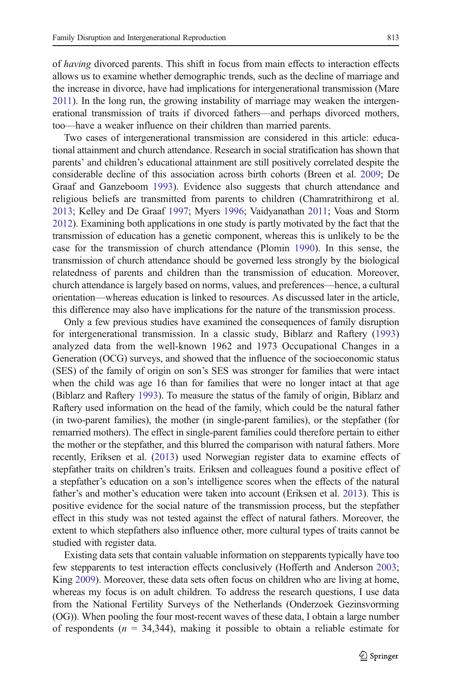of having divorced parents. This shift in focus from main effects to interaction effects allows us to examine whether demographic trends, such as the decline of marriage and the increase in divorce, have had implications for intergenerational transmission (Mare [2011](#page-21-0)). In the long run, the growing instability of marriage may weaken the intergenerational transmission of traits if divorced fathers—and perhaps divorced mothers, too—have a weaker influence on their children than married parents.

Two cases of intergenerational transmission are considered in this article: educational attainment and church attendance. Research in social stratification has shown that parents' and children's educational attainment are still positively correlated despite the considerable decline of this association across birth cohorts (Breen et al. [2009](#page-20-0); De Graaf and Ganzeboom [1993](#page-20-0)). Evidence also suggests that church attendance and religious beliefs are transmitted from parents to children (Chamratrithirong et al. [2013;](#page-20-0) Kelley and De Graaf [1997](#page-21-0); Myers [1996](#page-21-0); Vaidyanathan [2011;](#page-22-0) Voas and Storm [2012\)](#page-22-0). Examining both applications in one study is partly motivated by the fact that the transmission of education has a genetic component, whereas this is unlikely to be the case for the transmission of church attendance (Plomin [1990](#page-22-0)). In this sense, the transmission of church attendance should be governed less strongly by the biological relatedness of parents and children than the transmission of education. Moreover, church attendance is largely based on norms, values, and preferences—hence, a cultural orientation—whereas education is linked to resources. As discussed later in the article, this difference may also have implications for the nature of the transmission process.

Only a few previous studies have examined the consequences of family disruption for intergenerational transmission. In a classic study, Biblarz and Raftery [\(1993](#page-20-0)) analyzed data from the well-known 1962 and 1973 Occupational Changes in a Generation (OCG) surveys, and showed that the influence of the socioeconomic status (SES) of the family of origin on son's SES was stronger for families that were intact when the child was age 16 than for families that were no longer intact at that age (Biblarz and Raftery [1993\)](#page-20-0). To measure the status of the family of origin, Biblarz and Raftery used information on the head of the family, which could be the natural father (in two-parent families), the mother (in single-parent families), or the stepfather (for remarried mothers). The effect in single-parent families could therefore pertain to either the mother or the stepfather, and this blurred the comparison with natural fathers. More recently, Eriksen et al. [\(2013](#page-21-0)) used Norwegian register data to examine effects of stepfather traits on children's traits. Eriksen and colleagues found a positive effect of a stepfather's education on a son's intelligence scores when the effects of the natural father's and mother's education were taken into account (Eriksen et al. [2013\)](#page-21-0). This is positive evidence for the social nature of the transmission process, but the stepfather effect in this study was not tested against the effect of natural fathers. Moreover, the extent to which stepfathers also influence other, more cultural types of traits cannot be studied with register data.

Existing data sets that contain valuable information on stepparents typically have too few stepparents to test interaction effects conclusively (Hofferth and Anderson [2003;](#page-21-0) King [2009\)](#page-21-0). Moreover, these data sets often focus on children who are living at home, whereas my focus is on adult children. To address the research questions, I use data from the National Fertility Surveys of the Netherlands (Onderzoek Gezinsvorming (OG)). When pooling the four most-recent waves of these data, I obtain a large number of respondents ( $n = 34,344$ ), making it possible to obtain a reliable estimate for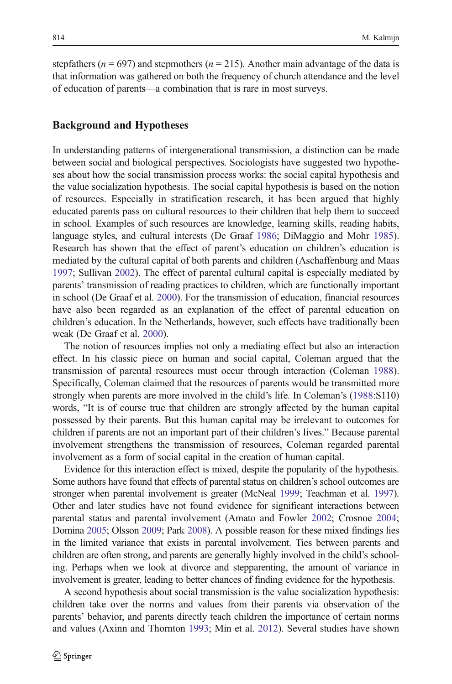stepfathers ( $n = 697$ ) and stepmothers ( $n = 215$ ). Another main advantage of the data is that information was gathered on both the frequency of church attendance and the level of education of parents—a combination that is rare in most surveys.

### Background and Hypotheses

In understanding patterns of intergenerational transmission, a distinction can be made between social and biological perspectives. Sociologists have suggested two hypotheses about how the social transmission process works: the social capital hypothesis and the value socialization hypothesis. The social capital hypothesis is based on the notion of resources. Especially in stratification research, it has been argued that highly educated parents pass on cultural resources to their children that help them to succeed in school. Examples of such resources are knowledge, learning skills, reading habits, language styles, and cultural interests (De Graaf [1986](#page-20-0); DiMaggio and Mohr [1985\)](#page-21-0). Research has shown that the effect of parent's education on children's education is mediated by the cultural capital of both parents and children (Aschaffenburg and Maas [1997;](#page-20-0) Sullivan [2002](#page-22-0)). The effect of parental cultural capital is especially mediated by parents' transmission of reading practices to children, which are functionally important in school (De Graaf et al. [2000](#page-20-0)). For the transmission of education, financial resources have also been regarded as an explanation of the effect of parental education on children's education. In the Netherlands, however, such effects have traditionally been weak (De Graaf et al. [2000\)](#page-20-0).

The notion of resources implies not only a mediating effect but also an interaction effect. In his classic piece on human and social capital, Coleman argued that the transmission of parental resources must occur through interaction (Coleman [1988\)](#page-20-0). Specifically, Coleman claimed that the resources of parents would be transmitted more strongly when parents are more involved in the child's life. In Coleman's [\(1988:](#page-20-0)S110) words, "It is of course true that children are strongly affected by the human capital possessed by their parents. But this human capital may be irrelevant to outcomes for children if parents are not an important part of their children's lives." Because parental involvement strengthens the transmission of resources, Coleman regarded parental involvement as a form of social capital in the creation of human capital.

Evidence for this interaction effect is mixed, despite the popularity of the hypothesis. Some authors have found that effects of parental status on children's school outcomes are stronger when parental involvement is greater (McNeal [1999](#page-21-0); Teachman et al. [1997\)](#page-22-0). Other and later studies have not found evidence for significant interactions between parental status and parental involvement (Amato and Fowler [2002](#page-20-0); Crosnoe [2004;](#page-20-0) Domina [2005;](#page-21-0) Olsson [2009](#page-22-0); Park [2008](#page-22-0)). A possible reason for these mixed findings lies in the limited variance that exists in parental involvement. Ties between parents and children are often strong, and parents are generally highly involved in the child's schooling. Perhaps when we look at divorce and stepparenting, the amount of variance in involvement is greater, leading to better chances of finding evidence for the hypothesis.

A second hypothesis about social transmission is the value socialization hypothesis: children take over the norms and values from their parents via observation of the parents' behavior, and parents directly teach children the importance of certain norms and values (Axinn and Thornton [1993](#page-20-0); Min et al. [2012](#page-21-0)). Several studies have shown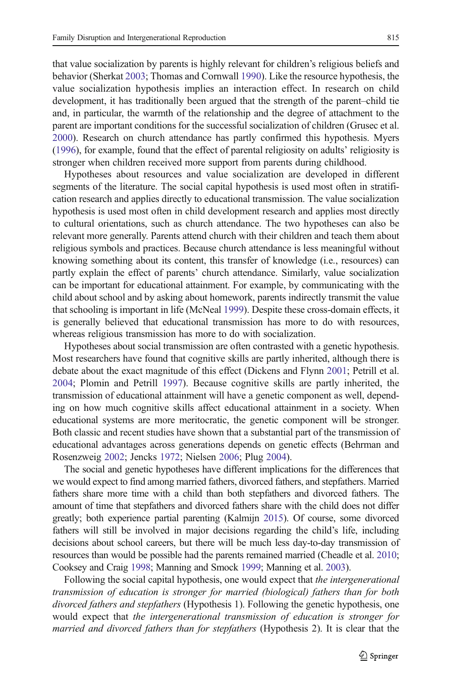that value socialization by parents is highly relevant for children's religious beliefs and behavior (Sherkat [2003](#page-22-0); Thomas and Cornwall [1990\)](#page-22-0). Like the resource hypothesis, the value socialization hypothesis implies an interaction effect. In research on child development, it has traditionally been argued that the strength of the parent–child tie and, in particular, the warmth of the relationship and the degree of attachment to the parent are important conditions for the successful socialization of children (Grusec et al. [2000\)](#page-21-0). Research on church attendance has partly confirmed this hypothesis. Myers [\(1996\)](#page-21-0), for example, found that the effect of parental religiosity on adults' religiosity is stronger when children received more support from parents during childhood.

Hypotheses about resources and value socialization are developed in different segments of the literature. The social capital hypothesis is used most often in stratification research and applies directly to educational transmission. The value socialization hypothesis is used most often in child development research and applies most directly to cultural orientations, such as church attendance. The two hypotheses can also be relevant more generally. Parents attend church with their children and teach them about religious symbols and practices. Because church attendance is less meaningful without knowing something about its content, this transfer of knowledge (i.e., resources) can partly explain the effect of parents' church attendance. Similarly, value socialization can be important for educational attainment. For example, by communicating with the child about school and by asking about homework, parents indirectly transmit the value that schooling is important in life (McNeal [1999](#page-21-0)). Despite these cross-domain effects, it is generally believed that educational transmission has more to do with resources, whereas religious transmission has more to do with socialization.

Hypotheses about social transmission are often contrasted with a genetic hypothesis. Most researchers have found that cognitive skills are partly inherited, although there is debate about the exact magnitude of this effect (Dickens and Flynn [2001](#page-21-0); Petrill et al. [2004;](#page-22-0) Plomin and Petrill [1997\)](#page-22-0). Because cognitive skills are partly inherited, the transmission of educational attainment will have a genetic component as well, depending on how much cognitive skills affect educational attainment in a society. When educational systems are more meritocratic, the genetic component will be stronger. Both classic and recent studies have shown that a substantial part of the transmission of educational advantages across generations depends on genetic effects (Behrman and Rosenzweig [2002](#page-20-0); Jencks [1972](#page-21-0); Nielsen [2006;](#page-22-0) Plug [2004\)](#page-22-0).

The social and genetic hypotheses have different implications for the differences that we would expect to find among married fathers, divorced fathers, and stepfathers. Married fathers share more time with a child than both stepfathers and divorced fathers. The amount of time that stepfathers and divorced fathers share with the child does not differ greatly; both experience partial parenting (Kalmijn [2015\)](#page-21-0). Of course, some divorced fathers will still be involved in major decisions regarding the child's life, including decisions about school careers, but there will be much less day-to-day transmission of resources than would be possible had the parents remained married (Cheadle et al. [2010;](#page-20-0) Cooksey and Craig [1998](#page-20-0); Manning and Smock [1999;](#page-21-0) Manning et al. [2003](#page-21-0)).

Following the social capital hypothesis, one would expect that *the intergenerational* transmission of education is stronger for married (biological) fathers than for both divorced fathers and stepfathers (Hypothesis 1). Following the genetic hypothesis, one would expect that the intergenerational transmission of education is stronger for married and divorced fathers than for stepfathers (Hypothesis 2). It is clear that the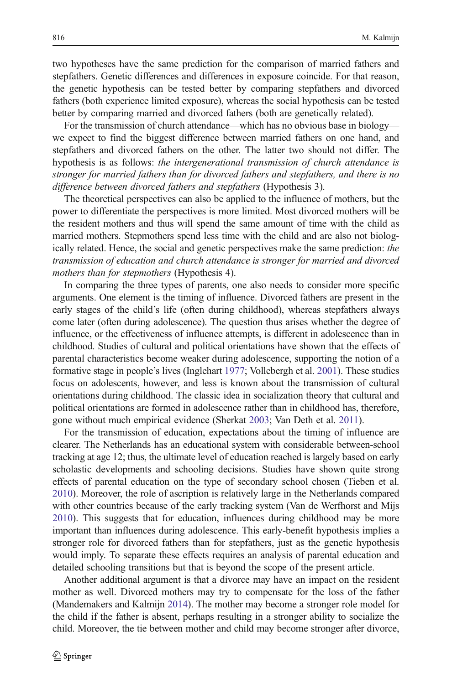two hypotheses have the same prediction for the comparison of married fathers and stepfathers. Genetic differences and differences in exposure coincide. For that reason, the genetic hypothesis can be tested better by comparing stepfathers and divorced fathers (both experience limited exposure), whereas the social hypothesis can be tested better by comparing married and divorced fathers (both are genetically related).

For the transmission of church attendance—which has no obvious base in biology we expect to find the biggest difference between married fathers on one hand, and stepfathers and divorced fathers on the other. The latter two should not differ. The hypothesis is as follows: the intergenerational transmission of church attendance is stronger for married fathers than for divorced fathers and stepfathers, and there is no difference between divorced fathers and stepfathers (Hypothesis 3).

The theoretical perspectives can also be applied to the influence of mothers, but the power to differentiate the perspectives is more limited. Most divorced mothers will be the resident mothers and thus will spend the same amount of time with the child as married mothers. Stepmothers spend less time with the child and are also not biologically related. Hence, the social and genetic perspectives make the same prediction: the transmission of education and church attendance is stronger for married and divorced mothers than for stepmothers (Hypothesis 4).

In comparing the three types of parents, one also needs to consider more specific arguments. One element is the timing of influence. Divorced fathers are present in the early stages of the child's life (often during childhood), whereas stepfathers always come later (often during adolescence). The question thus arises whether the degree of influence, or the effectiveness of influence attempts, is different in adolescence than in childhood. Studies of cultural and political orientations have shown that the effects of parental characteristics become weaker during adolescence, supporting the notion of a formative stage in people's lives (Inglehart [1977;](#page-21-0) Vollebergh et al. [2001](#page-22-0)). These studies focus on adolescents, however, and less is known about the transmission of cultural orientations during childhood. The classic idea in socialization theory that cultural and political orientations are formed in adolescence rather than in childhood has, therefore, gone without much empirical evidence (Sherkat [2003;](#page-22-0) Van Deth et al. [2011\)](#page-22-0).

For the transmission of education, expectations about the timing of influence are clearer. The Netherlands has an educational system with considerable between-school tracking at age 12; thus, the ultimate level of education reached is largely based on early scholastic developments and schooling decisions. Studies have shown quite strong effects of parental education on the type of secondary school chosen (Tieben et al. [2010\)](#page-22-0). Moreover, the role of ascription is relatively large in the Netherlands compared with other countries because of the early tracking system (Van de Werfhorst and Mijs [2010\)](#page-22-0). This suggests that for education, influences during childhood may be more important than influences during adolescence. This early-benefit hypothesis implies a stronger role for divorced fathers than for stepfathers, just as the genetic hypothesis would imply. To separate these effects requires an analysis of parental education and detailed schooling transitions but that is beyond the scope of the present article.

Another additional argument is that a divorce may have an impact on the resident mother as well. Divorced mothers may try to compensate for the loss of the father (Mandemakers and Kalmijn [2014\)](#page-21-0). The mother may become a stronger role model for the child if the father is absent, perhaps resulting in a stronger ability to socialize the child. Moreover, the tie between mother and child may become stronger after divorce,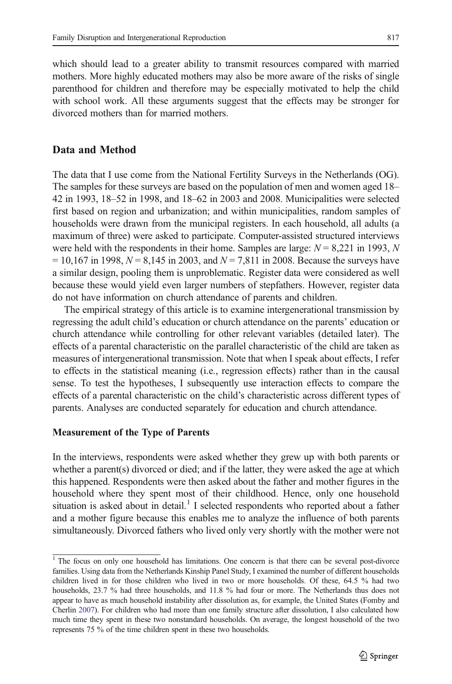which should lead to a greater ability to transmit resources compared with married mothers. More highly educated mothers may also be more aware of the risks of single parenthood for children and therefore may be especially motivated to help the child with school work. All these arguments suggest that the effects may be stronger for divorced mothers than for married mothers.

### Data and Method

The data that I use come from the National Fertility Surveys in the Netherlands (OG). The samples for these surveys are based on the population of men and women aged 18– 42 in 1993, 18–52 in 1998, and 18–62 in 2003 and 2008. Municipalities were selected first based on region and urbanization; and within municipalities, random samples of households were drawn from the municipal registers. In each household, all adults (a maximum of three) were asked to participate. Computer-assisted structured interviews were held with the respondents in their home. Samples are large:  $N = 8,221$  in 1993, N  $= 10,167$  in 1998,  $N = 8,145$  in 2003, and  $N = 7,811$  in 2008. Because the surveys have a similar design, pooling them is unproblematic. Register data were considered as well because these would yield even larger numbers of stepfathers. However, register data do not have information on church attendance of parents and children.

The empirical strategy of this article is to examine intergenerational transmission by regressing the adult child's education or church attendance on the parents' education or church attendance while controlling for other relevant variables (detailed later). The effects of a parental characteristic on the parallel characteristic of the child are taken as measures of intergenerational transmission. Note that when I speak about effects, I refer to effects in the statistical meaning (i.e., regression effects) rather than in the causal sense. To test the hypotheses, I subsequently use interaction effects to compare the effects of a parental characteristic on the child's characteristic across different types of parents. Analyses are conducted separately for education and church attendance.

### Measurement of the Type of Parents

In the interviews, respondents were asked whether they grew up with both parents or whether a parent(s) divorced or died; and if the latter, they were asked the age at which this happened. Respondents were then asked about the father and mother figures in the household where they spent most of their childhood. Hence, only one household situation is asked about in detail.<sup>1</sup> I selected respondents who reported about a father and a mother figure because this enables me to analyze the influence of both parents simultaneously. Divorced fathers who lived only very shortly with the mother were not

<sup>&</sup>lt;sup>1</sup> The focus on only one household has limitations. One concern is that there can be several post-divorce families. Using data from the Netherlands Kinship Panel Study, I examined the number of different households children lived in for those children who lived in two or more households. Of these, 64.5 % had two households, 23.7 % had three households, and 11.8 % had four or more. The Netherlands thus does not appear to have as much household instability after dissolution as, for example, the United States (Fomby and Cherlin [2007\)](#page-21-0). For children who had more than one family structure after dissolution, I also calculated how much time they spent in these two nonstandard households. On average, the longest household of the two represents 75 % of the time children spent in these two households.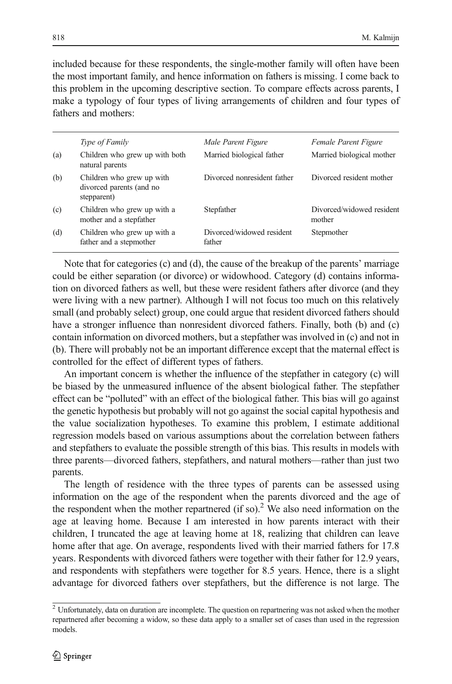included because for these respondents, the single-mother family will often have been the most important family, and hence information on fathers is missing. I come back to this problem in the upcoming descriptive section. To compare effects across parents, I make a typology of four types of living arrangements of children and four types of fathers and mothers:

|     | Type of Family                                                       | Male Parent Figure                  | <b>Female Parent Figure</b>         |
|-----|----------------------------------------------------------------------|-------------------------------------|-------------------------------------|
| (a) | Children who grew up with both<br>natural parents                    | Married biological father           | Married biological mother           |
| (b) | Children who grew up with<br>divorced parents (and no<br>stepparent) | Divorced nonresident father         | Divorced resident mother            |
| (c) | Children who grew up with a<br>mother and a stepfather               | Stepfather                          | Divorced/widowed resident<br>mother |
| (d) | Children who grew up with a<br>father and a stepmother               | Divorced/widowed resident<br>father | Stepmother                          |

Note that for categories (c) and (d), the cause of the breakup of the parents' marriage could be either separation (or divorce) or widowhood. Category (d) contains information on divorced fathers as well, but these were resident fathers after divorce (and they were living with a new partner). Although I will not focus too much on this relatively small (and probably select) group, one could argue that resident divorced fathers should have a stronger influence than nonresident divorced fathers. Finally, both (b) and (c) contain information on divorced mothers, but a stepfather was involved in (c) and not in (b). There will probably not be an important difference except that the maternal effect is controlled for the effect of different types of fathers.

An important concern is whether the influence of the stepfather in category (c) will be biased by the unmeasured influence of the absent biological father. The stepfather effect can be "polluted" with an effect of the biological father. This bias will go against the genetic hypothesis but probably will not go against the social capital hypothesis and the value socialization hypotheses. To examine this problem, I estimate additional regression models based on various assumptions about the correlation between fathers and stepfathers to evaluate the possible strength of this bias. This results in models with three parents—divorced fathers, stepfathers, and natural mothers—rather than just two parents.

The length of residence with the three types of parents can be assessed using information on the age of the respondent when the parents divorced and the age of the respondent when the mother repartnered (if so).<sup>2</sup> We also need information on the age at leaving home. Because I am interested in how parents interact with their children, I truncated the age at leaving home at 18, realizing that children can leave home after that age. On average, respondents lived with their married fathers for 17.8 years. Respondents with divorced fathers were together with their father for 12.9 years, and respondents with stepfathers were together for 8.5 years. Hence, there is a slight advantage for divorced fathers over stepfathers, but the difference is not large. The

 $2$  Unfortunately, data on duration are incomplete. The question on repartnering was not asked when the mother repartnered after becoming a widow, so these data apply to a smaller set of cases than used in the regression models.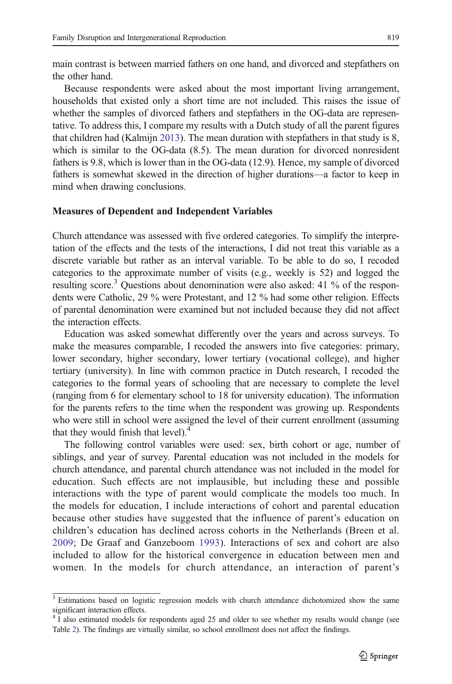main contrast is between married fathers on one hand, and divorced and stepfathers on the other hand.

Because respondents were asked about the most important living arrangement, households that existed only a short time are not included. This raises the issue of whether the samples of divorced fathers and stepfathers in the OG-data are representative. To address this, I compare my results with a Dutch study of all the parent figures that children had (Kalmijn [2013](#page-21-0)). The mean duration with stepfathers in that study is 8, which is similar to the OG-data (8.5). The mean duration for divorced nonresident fathers is 9.8, which is lower than in the OG-data (12.9). Hence, my sample of divorced fathers is somewhat skewed in the direction of higher durations—a factor to keep in mind when drawing conclusions.

#### Measures of Dependent and Independent Variables

Church attendance was assessed with five ordered categories. To simplify the interpretation of the effects and the tests of the interactions, I did not treat this variable as a discrete variable but rather as an interval variable. To be able to do so, I recoded categories to the approximate number of visits (e.g., weekly is 52) and logged the resulting score.<sup>3</sup> Questions about denomination were also asked: 41 % of the respondents were Catholic, 29 % were Protestant, and 12 % had some other religion. Effects of parental denomination were examined but not included because they did not affect the interaction effects.

Education was asked somewhat differently over the years and across surveys. To make the measures comparable, I recoded the answers into five categories: primary, lower secondary, higher secondary, lower tertiary (vocational college), and higher tertiary (university). In line with common practice in Dutch research, I recoded the categories to the formal years of schooling that are necessary to complete the level (ranging from 6 for elementary school to 18 for university education). The information for the parents refers to the time when the respondent was growing up. Respondents who were still in school were assigned the level of their current enrollment (assuming that they would finish that level). $<sup>4</sup>$ </sup>

The following control variables were used: sex, birth cohort or age, number of siblings, and year of survey. Parental education was not included in the models for church attendance, and parental church attendance was not included in the model for education. Such effects are not implausible, but including these and possible interactions with the type of parent would complicate the models too much. In the models for education, I include interactions of cohort and parental education because other studies have suggested that the influence of parent's education on children's education has declined across cohorts in the Netherlands (Breen et al. [2009](#page-20-0); De Graaf and Ganzeboom [1993\)](#page-20-0). Interactions of sex and cohort are also included to allow for the historical convergence in education between men and women. In the models for church attendance, an interaction of parent's

<sup>&</sup>lt;sup>3</sup> Estimations based on logistic regression models with church attendance dichotomized show the same significant interaction effects.

 $4\bar{I}$  also estimated models for respondents aged 25 and older to see whether my results would change (see Table [2](#page-11-0)). The findings are virtually similar, so school enrollment does not affect the findings.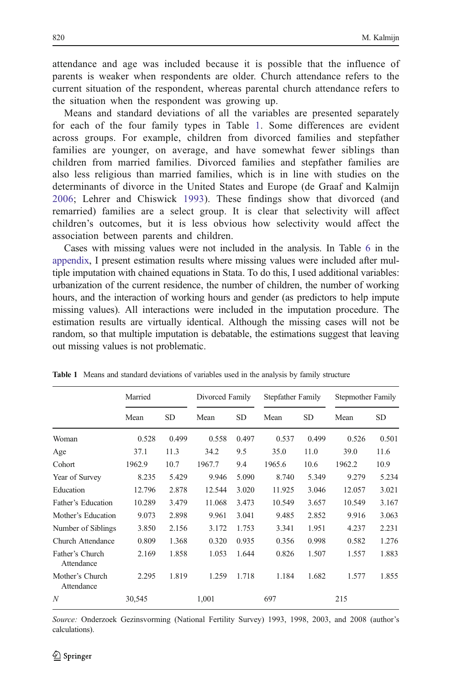attendance and age was included because it is possible that the influence of parents is weaker when respondents are older. Church attendance refers to the current situation of the respondent, whereas parental church attendance refers to the situation when the respondent was growing up.

Means and standard deviations of all the variables are presented separately for each of the four family types in Table 1. Some differences are evident across groups. For example, children from divorced families and stepfather families are younger, on average, and have somewhat fewer siblings than children from married families. Divorced families and stepfather families are also less religious than married families, which is in line with studies on the determinants of divorce in the United States and Europe (de Graaf and Kalmijn [2006](#page-20-0); Lehrer and Chiswick [1993\)](#page-21-0). These findings show that divorced (and remarried) families are a select group. It is clear that selectivity will affect children's outcomes, but it is less obvious how selectivity would affect the association between parents and children.

Cases with missing values were not included in the analysis. In Table [6](#page-19-0) in the [appendix,](#page-19-0) I present estimation results where missing values were included after multiple imputation with chained equations in Stata. To do this, I used additional variables: urbanization of the current residence, the number of children, the number of working hours, and the interaction of working hours and gender (as predictors to help impute missing values). All interactions were included in the imputation procedure. The estimation results are virtually identical. Although the missing cases will not be random, so that multiple imputation is debatable, the estimations suggest that leaving out missing values is not problematic.

|                               | Married |           |        | Stepfather Family<br>Divorced Family |        |           | <b>Stepmother Family</b> |           |
|-------------------------------|---------|-----------|--------|--------------------------------------|--------|-----------|--------------------------|-----------|
|                               | Mean    | <b>SD</b> | Mean   | <b>SD</b>                            | Mean   | <b>SD</b> | Mean                     | <b>SD</b> |
| Woman                         | 0.528   | 0.499     | 0.558  | 0.497                                | 0.537  | 0.499     | 0.526                    | 0.501     |
| Age                           | 37.1    | 11.3      | 34.2   | 9.5                                  | 35.0   | 11.0      | 39.0                     | 11.6      |
| Cohort                        | 1962.9  | 10.7      | 1967.7 | 9.4                                  | 1965.6 | 10.6      | 1962.2                   | 10.9      |
| Year of Survey                | 8.235   | 5.429     | 9.946  | 5.090                                | 8.740  | 5.349     | 9.279                    | 5.234     |
| Education                     | 12.796  | 2.878     | 12.544 | 3.020                                | 11.925 | 3.046     | 12.057                   | 3.021     |
| Father's Education            | 10.289  | 3.479     | 11.068 | 3.473                                | 10.549 | 3.657     | 10.549                   | 3.167     |
| Mother's Education            | 9.073   | 2.898     | 9.961  | 3.041                                | 9.485  | 2.852     | 9.916                    | 3.063     |
| Number of Siblings            | 3.850   | 2.156     | 3.172  | 1.753                                | 3.341  | 1.951     | 4.237                    | 2.231     |
| Church Attendance             | 0.809   | 1.368     | 0.320  | 0.935                                | 0.356  | 0.998     | 0.582                    | 1.276     |
| Father's Church<br>Attendance | 2.169   | 1.858     | 1.053  | 1.644                                | 0.826  | 1.507     | 1.557                    | 1.883     |
| Mother's Church<br>Attendance | 2.295   | 1.819     | 1.259  | 1.718                                | 1.184  | 1.682     | 1.577                    | 1.855     |
| N                             | 30,545  |           | 1,001  |                                      | 697    |           | 215                      |           |

Table 1 Means and standard deviations of variables used in the analysis by family structure

Source: Onderzoek Gezinsvorming (National Fertility Survey) 1993, 1998, 2003, and 2008 (author's calculations).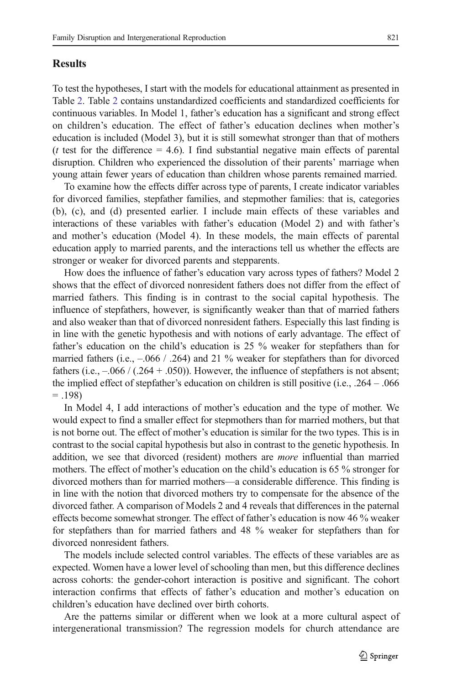### **Results**

To test the hypotheses, I start with the models for educational attainment as presented in Table [2](#page-11-0). Table [2](#page-11-0) contains unstandardized coefficients and standardized coefficients for continuous variables. In Model 1, father's education has a significant and strong effect on children's education. The effect of father's education declines when mother's education is included (Model 3), but it is still somewhat stronger than that of mothers (*t* test for the difference  $= 4.6$ ). I find substantial negative main effects of parental disruption. Children who experienced the dissolution of their parents' marriage when young attain fewer years of education than children whose parents remained married.

To examine how the effects differ across type of parents, I create indicator variables for divorced families, stepfather families, and stepmother families: that is, categories (b), (c), and (d) presented earlier. I include main effects of these variables and interactions of these variables with father's education (Model 2) and with father's and mother's education (Model 4). In these models, the main effects of parental education apply to married parents, and the interactions tell us whether the effects are stronger or weaker for divorced parents and stepparents.

How does the influence of father's education vary across types of fathers? Model 2 shows that the effect of divorced nonresident fathers does not differ from the effect of married fathers. This finding is in contrast to the social capital hypothesis. The influence of stepfathers, however, is significantly weaker than that of married fathers and also weaker than that of divorced nonresident fathers. Especially this last finding is in line with the genetic hypothesis and with notions of early advantage. The effect of father's education on the child's education is 25 % weaker for stepfathers than for married fathers (i.e.,  $-.066 / .264$ ) and 21 % weaker for stepfathers than for divorced fathers (i.e.,  $-.066 / (.264 + .050)$ ). However, the influence of stepfathers is not absent; the implied effect of stepfather's education on children is still positive (i.e., .264 – .066  $= .198$ 

In Model 4, I add interactions of mother's education and the type of mother. We would expect to find a smaller effect for stepmothers than for married mothers, but that is not borne out. The effect of mother's education is similar for the two types. This is in contrast to the social capital hypothesis but also in contrast to the genetic hypothesis. In addition, we see that divorced (resident) mothers are more influential than married mothers. The effect of mother's education on the child's education is 65 % stronger for divorced mothers than for married mothers—a considerable difference. This finding is in line with the notion that divorced mothers try to compensate for the absence of the divorced father. A comparison of Models 2 and 4 reveals that differences in the paternal effects become somewhat stronger. The effect of father's education is now 46 % weaker for stepfathers than for married fathers and 48 % weaker for stepfathers than for divorced nonresident fathers.

The models include selected control variables. The effects of these variables are as expected. Women have a lower level of schooling than men, but this difference declines across cohorts: the gender-cohort interaction is positive and significant. The cohort interaction confirms that effects of father's education and mother's education on children's education have declined over birth cohorts.

Are the patterns similar or different when we look at a more cultural aspect of intergenerational transmission? The regression models for church attendance are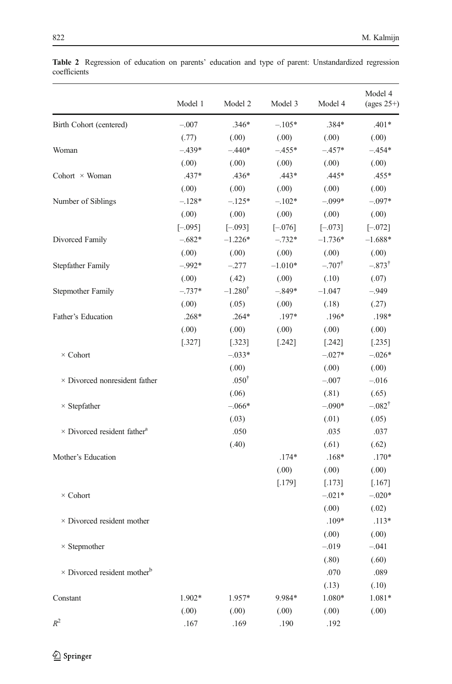|                                                | Model 1   | Model 2            | Model 3   | Model 4              | Model 4<br>(ages $25+$ ) |
|------------------------------------------------|-----------|--------------------|-----------|----------------------|--------------------------|
| Birth Cohort (centered)                        | $-.007$   | $.346*$            | $-.105*$  | .384*                | $.401*$                  |
|                                                | (.77)     | (.00)              | (.00)     | (.00)                | (.00)                    |
| Woman                                          | $-439*$   | $-.440*$           | $-.455*$  | $-.457*$             | $-.454*$                 |
|                                                | (.00)     | (.00)              | (.00)     | (.00)                | (.00)                    |
| Cohort × Woman                                 | $.437*$   | .436*              | $.443*$   | $.445*$              | $.455*$                  |
|                                                | (.00)     | (.00)              | (.00)     | (.00)                | (.00)                    |
| Number of Siblings                             | $-.128*$  | $-.125*$           | $-.102*$  | $-.099*$             | $-.097*$                 |
|                                                | (.00)     | (.00)              | (.00)     | (.00)                | (.00)                    |
|                                                | $[-.095]$ | $[-.093]$          | $[-076]$  | $[-073]$             | $[-.072]$                |
| Divorced Family                                | $-.682*$  | $-1.226*$          | $-.732*$  | $-1.736*$            | $-1.688*$                |
|                                                | (.00)     | (.00)              | (.00)     | (.00)                | (.00)                    |
| <b>Stepfather Family</b>                       | $-992*$   | $-.277$            | $-1.010*$ | $-.707$ <sup>†</sup> | $-.873^{\dagger}$        |
|                                                | (.00)     | (.42)              | (.00)     | (.10)                | (.07)                    |
| <b>Stepmother Family</b>                       | $-.737*$  | $-1.280^{\dagger}$ | $-.849*$  | $-1.047$             | $-.949$                  |
|                                                | (.00)     | (.05)              | (.00)     | (.18)                | (.27)                    |
| Father's Education                             | $.268*$   | $.264*$            | .197*     | .196*                | $.198*$                  |
|                                                | (.00)     | (.00)              | (.00)     | (.00)                | (0.00)                   |
|                                                | [.327]    | [.323]             | [.242]    | $[.242]$             | $[.235]$                 |
| $\times$ Cohort                                |           | $-0.033*$          |           | $-.027*$             | $-.026*$                 |
|                                                |           | (.00)              |           | (.00)                | (.00)                    |
| $\times$ Divorced nonresident father           |           | $.050^{\dagger}$   |           | $-.007$              | $-.016$                  |
|                                                |           | (.06)              |           | (.81)                | (.65)                    |
| $\times$ Stepfather                            |           | $-.066*$           |           | $-.090*$             | $-.082^{\dagger}$        |
|                                                |           | (.03)              |           | (.01)                | (.05)                    |
| $\times$ Divorced resident father <sup>a</sup> |           | .050               |           | .035                 | .037                     |
|                                                |           | (.40)              |           | (.61)                | (.62)                    |
| Mother's Education                             |           |                    | $.174*$   | $.168*$              | $.170*$                  |
|                                                |           |                    | (.00)     | (.00)                | (0.00)                   |
|                                                |           |                    | [.179]    | [.173]               | $[.167]$                 |
| $\times$ Cohort                                |           |                    |           | $-.021*$             | $-.020*$                 |
|                                                |           |                    |           | (.00)                | (.02)                    |
| $\times$ Divorced resident mother              |           |                    |           | $.109*$              | $.113*$                  |
|                                                |           |                    |           | (.00)                | (.00)                    |
| $\times$ Stepmother                            |           |                    |           | $-.019$              | $-.041$                  |
|                                                |           |                    |           | (.80)                | (.60)                    |
| $\times$ Divorced resident mother <sup>b</sup> |           |                    |           | .070                 | .089                     |
|                                                |           |                    |           | (.13)                | (.10)                    |
| Constant                                       | 1.902*    | 1.957*             | 9.984*    | 1.080*               | $1.081*$                 |
|                                                | (.00)     | (.00)              | (.00)     | (.00)                | (.00)                    |

 $R^2$  .167 .169 .190 .192

<span id="page-11-0"></span>Table 2 Regression of education on parents' education and type of parent: Unstandardized regression coefficients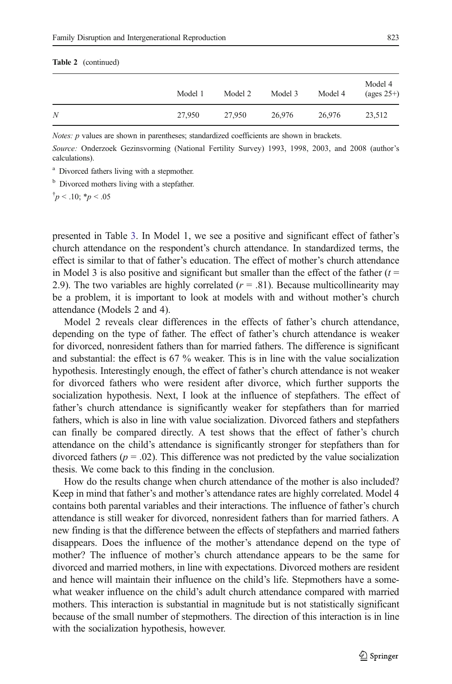#### Table 2 (continued)

|                  | Model 1 | Model 2 | Model 3 | Model 4 | Model 4<br>(ages $25+$ ) |
|------------------|---------|---------|---------|---------|--------------------------|
| $\boldsymbol{N}$ | 27,950  | 27,950  | 26,976  | 26,976  | 23,512                   |

Notes: p values are shown in parentheses; standardized coefficients are shown in brackets.

Source: Onderzoek Gezinsvorming (National Fertility Survey) 1993, 1998, 2003, and 2008 (author's calculations).

<sup>a</sup> Divorced fathers living with a stepmother.

<sup>b</sup> Divorced mothers living with a stepfather.

 $\dagger p < .10; *p < .05$ 

presented in Table [3](#page-13-0). In Model 1, we see a positive and significant effect of father's church attendance on the respondent's church attendance. In standardized terms, the effect is similar to that of father's education. The effect of mother's church attendance in Model 3 is also positive and significant but smaller than the effect of the father  $(t =$ 2.9). The two variables are highly correlated ( $r = .81$ ). Because multicollinearity may be a problem, it is important to look at models with and without mother's church attendance (Models 2 and 4).

Model 2 reveals clear differences in the effects of father's church attendance, depending on the type of father. The effect of father's church attendance is weaker for divorced, nonresident fathers than for married fathers. The difference is significant and substantial: the effect is 67 % weaker. This is in line with the value socialization hypothesis. Interestingly enough, the effect of father's church attendance is not weaker for divorced fathers who were resident after divorce, which further supports the socialization hypothesis. Next, I look at the influence of stepfathers. The effect of father's church attendance is significantly weaker for stepfathers than for married fathers, which is also in line with value socialization. Divorced fathers and stepfathers can finally be compared directly. A test shows that the effect of father's church attendance on the child's attendance is significantly stronger for stepfathers than for divorced fathers ( $p = .02$ ). This difference was not predicted by the value socialization thesis. We come back to this finding in the conclusion.

How do the results change when church attendance of the mother is also included? Keep in mind that father's and mother's attendance rates are highly correlated. Model 4 contains both parental variables and their interactions. The influence of father's church attendance is still weaker for divorced, nonresident fathers than for married fathers. A new finding is that the difference between the effects of stepfathers and married fathers disappears. Does the influence of the mother's attendance depend on the type of mother? The influence of mother's church attendance appears to be the same for divorced and married mothers, in line with expectations. Divorced mothers are resident and hence will maintain their influence on the child's life. Stepmothers have a somewhat weaker influence on the child's adult church attendance compared with married mothers. This interaction is substantial in magnitude but is not statistically significant because of the small number of stepmothers. The direction of this interaction is in line with the socialization hypothesis, however.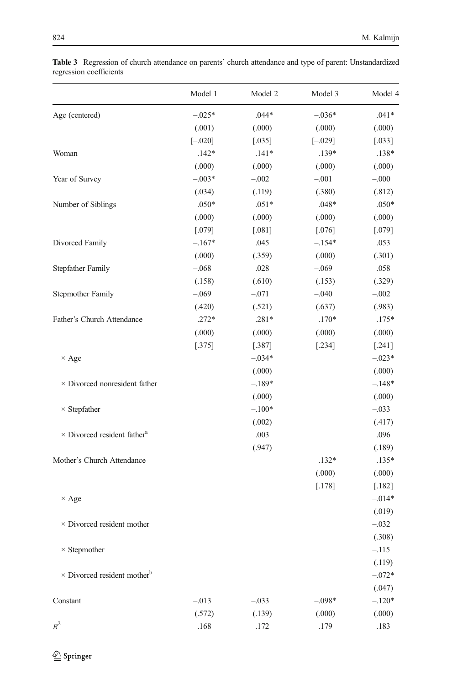| $-.025*$<br>$.044*$<br>$-.036*$<br>Age (centered)<br>$.041*$<br>(.001)<br>(.000)<br>(.000)<br>(.000)<br>$[-.020]$<br>[.035]<br>$[-.029]$<br>$[.033]$<br>$.142*$<br>$.141*$<br>$.139*$<br>$.138*$<br>Woman<br>(.000)<br>(.000)<br>(.000)<br>(.000)<br>$-.003*$<br>$-.002$<br>Year of Survey<br>$-.001$<br>$-.000$<br>(.034)<br>(.119)<br>(.380)<br>(.812)<br>$.050*$<br>$.051*$<br>$.048*$<br>Number of Siblings<br>$.050*$<br>(.000)<br>(.000)<br>(.000)<br>(.000)<br>[.079]<br>$[.081]$<br>$[.076]$<br>$[.079]$<br>Divorced Family<br>$-.167*$<br>.045<br>$-.154*$<br>.053<br>(.000)<br>(.359)<br>(.000)<br>(.301)<br><b>Stepfather Family</b><br>$-.068$<br>.028<br>$-.069$<br>.058<br>(.610)<br>(.158)<br>(.153)<br>(.329)<br><b>Stepmother Family</b><br>$-.071$<br>$-.069$<br>$-.040$<br>$-.002$<br>(.420)<br>(.521)<br>(.637)<br>(.983)<br>Father's Church Attendance<br>$.272*$<br>$.281*$<br>$.170*$<br>$.175*$<br>(.000)<br>(.000)<br>(.000)<br>(.000)<br>[.375]<br>[.234]<br>$[.387]$<br>$[.241]$<br>$\times$ Age<br>$-.034*$<br>$-.023*$<br>(.000)<br>(.000)<br>$\times$ Divorced nonresident father<br>$-.189*$<br>$-.148*$<br>(.000)<br>(.000)<br>$\times$ Stepfather<br>$-.100*$<br>$-.033$<br>(.002)<br>(.417)<br>$\times$ Divorced resident father <sup>a</sup><br>.003<br>.096<br>(.947)<br>(.189)<br>$.132*$<br>Mother's Church Attendance<br>$.135*$<br>(.000)<br>(.000)<br>[.178]<br>$[.182]$<br>$\times$ Age<br>$-.014*$<br>(.019)<br>$\times$ Divorced resident mother<br>$-.032$<br>(.308)<br>$\times$ Stepmother<br>$-.115$<br>(.119)<br>$\times$ Divorced resident mother <sup>b</sup><br>$-.072*$<br>(.047)<br>$-.098*$<br>$-.120*$<br>Constant<br>$-.013$<br>$-.033$<br>(.572)<br>(.139)<br>(.000)<br>(.000) |       | Model 1 | Model 2 | Model 3 | Model 4 |
|-----------------------------------------------------------------------------------------------------------------------------------------------------------------------------------------------------------------------------------------------------------------------------------------------------------------------------------------------------------------------------------------------------------------------------------------------------------------------------------------------------------------------------------------------------------------------------------------------------------------------------------------------------------------------------------------------------------------------------------------------------------------------------------------------------------------------------------------------------------------------------------------------------------------------------------------------------------------------------------------------------------------------------------------------------------------------------------------------------------------------------------------------------------------------------------------------------------------------------------------------------------------------------------------------------------------------------------------------------------------------------------------------------------------------------------------------------------------------------------------------------------------------------------------------------------------------------------------------------------------------------------------------------------------------------------------------------------------------------------------|-------|---------|---------|---------|---------|
|                                                                                                                                                                                                                                                                                                                                                                                                                                                                                                                                                                                                                                                                                                                                                                                                                                                                                                                                                                                                                                                                                                                                                                                                                                                                                                                                                                                                                                                                                                                                                                                                                                                                                                                                         |       |         |         |         |         |
|                                                                                                                                                                                                                                                                                                                                                                                                                                                                                                                                                                                                                                                                                                                                                                                                                                                                                                                                                                                                                                                                                                                                                                                                                                                                                                                                                                                                                                                                                                                                                                                                                                                                                                                                         |       |         |         |         |         |
|                                                                                                                                                                                                                                                                                                                                                                                                                                                                                                                                                                                                                                                                                                                                                                                                                                                                                                                                                                                                                                                                                                                                                                                                                                                                                                                                                                                                                                                                                                                                                                                                                                                                                                                                         |       |         |         |         |         |
|                                                                                                                                                                                                                                                                                                                                                                                                                                                                                                                                                                                                                                                                                                                                                                                                                                                                                                                                                                                                                                                                                                                                                                                                                                                                                                                                                                                                                                                                                                                                                                                                                                                                                                                                         |       |         |         |         |         |
|                                                                                                                                                                                                                                                                                                                                                                                                                                                                                                                                                                                                                                                                                                                                                                                                                                                                                                                                                                                                                                                                                                                                                                                                                                                                                                                                                                                                                                                                                                                                                                                                                                                                                                                                         |       |         |         |         |         |
|                                                                                                                                                                                                                                                                                                                                                                                                                                                                                                                                                                                                                                                                                                                                                                                                                                                                                                                                                                                                                                                                                                                                                                                                                                                                                                                                                                                                                                                                                                                                                                                                                                                                                                                                         |       |         |         |         |         |
|                                                                                                                                                                                                                                                                                                                                                                                                                                                                                                                                                                                                                                                                                                                                                                                                                                                                                                                                                                                                                                                                                                                                                                                                                                                                                                                                                                                                                                                                                                                                                                                                                                                                                                                                         |       |         |         |         |         |
|                                                                                                                                                                                                                                                                                                                                                                                                                                                                                                                                                                                                                                                                                                                                                                                                                                                                                                                                                                                                                                                                                                                                                                                                                                                                                                                                                                                                                                                                                                                                                                                                                                                                                                                                         |       |         |         |         |         |
|                                                                                                                                                                                                                                                                                                                                                                                                                                                                                                                                                                                                                                                                                                                                                                                                                                                                                                                                                                                                                                                                                                                                                                                                                                                                                                                                                                                                                                                                                                                                                                                                                                                                                                                                         |       |         |         |         |         |
|                                                                                                                                                                                                                                                                                                                                                                                                                                                                                                                                                                                                                                                                                                                                                                                                                                                                                                                                                                                                                                                                                                                                                                                                                                                                                                                                                                                                                                                                                                                                                                                                                                                                                                                                         |       |         |         |         |         |
|                                                                                                                                                                                                                                                                                                                                                                                                                                                                                                                                                                                                                                                                                                                                                                                                                                                                                                                                                                                                                                                                                                                                                                                                                                                                                                                                                                                                                                                                                                                                                                                                                                                                                                                                         |       |         |         |         |         |
|                                                                                                                                                                                                                                                                                                                                                                                                                                                                                                                                                                                                                                                                                                                                                                                                                                                                                                                                                                                                                                                                                                                                                                                                                                                                                                                                                                                                                                                                                                                                                                                                                                                                                                                                         |       |         |         |         |         |
|                                                                                                                                                                                                                                                                                                                                                                                                                                                                                                                                                                                                                                                                                                                                                                                                                                                                                                                                                                                                                                                                                                                                                                                                                                                                                                                                                                                                                                                                                                                                                                                                                                                                                                                                         |       |         |         |         |         |
|                                                                                                                                                                                                                                                                                                                                                                                                                                                                                                                                                                                                                                                                                                                                                                                                                                                                                                                                                                                                                                                                                                                                                                                                                                                                                                                                                                                                                                                                                                                                                                                                                                                                                                                                         |       |         |         |         |         |
|                                                                                                                                                                                                                                                                                                                                                                                                                                                                                                                                                                                                                                                                                                                                                                                                                                                                                                                                                                                                                                                                                                                                                                                                                                                                                                                                                                                                                                                                                                                                                                                                                                                                                                                                         |       |         |         |         |         |
|                                                                                                                                                                                                                                                                                                                                                                                                                                                                                                                                                                                                                                                                                                                                                                                                                                                                                                                                                                                                                                                                                                                                                                                                                                                                                                                                                                                                                                                                                                                                                                                                                                                                                                                                         |       |         |         |         |         |
|                                                                                                                                                                                                                                                                                                                                                                                                                                                                                                                                                                                                                                                                                                                                                                                                                                                                                                                                                                                                                                                                                                                                                                                                                                                                                                                                                                                                                                                                                                                                                                                                                                                                                                                                         |       |         |         |         |         |
|                                                                                                                                                                                                                                                                                                                                                                                                                                                                                                                                                                                                                                                                                                                                                                                                                                                                                                                                                                                                                                                                                                                                                                                                                                                                                                                                                                                                                                                                                                                                                                                                                                                                                                                                         |       |         |         |         |         |
|                                                                                                                                                                                                                                                                                                                                                                                                                                                                                                                                                                                                                                                                                                                                                                                                                                                                                                                                                                                                                                                                                                                                                                                                                                                                                                                                                                                                                                                                                                                                                                                                                                                                                                                                         |       |         |         |         |         |
|                                                                                                                                                                                                                                                                                                                                                                                                                                                                                                                                                                                                                                                                                                                                                                                                                                                                                                                                                                                                                                                                                                                                                                                                                                                                                                                                                                                                                                                                                                                                                                                                                                                                                                                                         |       |         |         |         |         |
|                                                                                                                                                                                                                                                                                                                                                                                                                                                                                                                                                                                                                                                                                                                                                                                                                                                                                                                                                                                                                                                                                                                                                                                                                                                                                                                                                                                                                                                                                                                                                                                                                                                                                                                                         |       |         |         |         |         |
|                                                                                                                                                                                                                                                                                                                                                                                                                                                                                                                                                                                                                                                                                                                                                                                                                                                                                                                                                                                                                                                                                                                                                                                                                                                                                                                                                                                                                                                                                                                                                                                                                                                                                                                                         |       |         |         |         |         |
|                                                                                                                                                                                                                                                                                                                                                                                                                                                                                                                                                                                                                                                                                                                                                                                                                                                                                                                                                                                                                                                                                                                                                                                                                                                                                                                                                                                                                                                                                                                                                                                                                                                                                                                                         |       |         |         |         |         |
|                                                                                                                                                                                                                                                                                                                                                                                                                                                                                                                                                                                                                                                                                                                                                                                                                                                                                                                                                                                                                                                                                                                                                                                                                                                                                                                                                                                                                                                                                                                                                                                                                                                                                                                                         |       |         |         |         |         |
|                                                                                                                                                                                                                                                                                                                                                                                                                                                                                                                                                                                                                                                                                                                                                                                                                                                                                                                                                                                                                                                                                                                                                                                                                                                                                                                                                                                                                                                                                                                                                                                                                                                                                                                                         |       |         |         |         |         |
|                                                                                                                                                                                                                                                                                                                                                                                                                                                                                                                                                                                                                                                                                                                                                                                                                                                                                                                                                                                                                                                                                                                                                                                                                                                                                                                                                                                                                                                                                                                                                                                                                                                                                                                                         |       |         |         |         |         |
|                                                                                                                                                                                                                                                                                                                                                                                                                                                                                                                                                                                                                                                                                                                                                                                                                                                                                                                                                                                                                                                                                                                                                                                                                                                                                                                                                                                                                                                                                                                                                                                                                                                                                                                                         |       |         |         |         |         |
|                                                                                                                                                                                                                                                                                                                                                                                                                                                                                                                                                                                                                                                                                                                                                                                                                                                                                                                                                                                                                                                                                                                                                                                                                                                                                                                                                                                                                                                                                                                                                                                                                                                                                                                                         |       |         |         |         |         |
|                                                                                                                                                                                                                                                                                                                                                                                                                                                                                                                                                                                                                                                                                                                                                                                                                                                                                                                                                                                                                                                                                                                                                                                                                                                                                                                                                                                                                                                                                                                                                                                                                                                                                                                                         |       |         |         |         |         |
|                                                                                                                                                                                                                                                                                                                                                                                                                                                                                                                                                                                                                                                                                                                                                                                                                                                                                                                                                                                                                                                                                                                                                                                                                                                                                                                                                                                                                                                                                                                                                                                                                                                                                                                                         |       |         |         |         |         |
|                                                                                                                                                                                                                                                                                                                                                                                                                                                                                                                                                                                                                                                                                                                                                                                                                                                                                                                                                                                                                                                                                                                                                                                                                                                                                                                                                                                                                                                                                                                                                                                                                                                                                                                                         |       |         |         |         |         |
|                                                                                                                                                                                                                                                                                                                                                                                                                                                                                                                                                                                                                                                                                                                                                                                                                                                                                                                                                                                                                                                                                                                                                                                                                                                                                                                                                                                                                                                                                                                                                                                                                                                                                                                                         |       |         |         |         |         |
|                                                                                                                                                                                                                                                                                                                                                                                                                                                                                                                                                                                                                                                                                                                                                                                                                                                                                                                                                                                                                                                                                                                                                                                                                                                                                                                                                                                                                                                                                                                                                                                                                                                                                                                                         |       |         |         |         |         |
|                                                                                                                                                                                                                                                                                                                                                                                                                                                                                                                                                                                                                                                                                                                                                                                                                                                                                                                                                                                                                                                                                                                                                                                                                                                                                                                                                                                                                                                                                                                                                                                                                                                                                                                                         |       |         |         |         |         |
|                                                                                                                                                                                                                                                                                                                                                                                                                                                                                                                                                                                                                                                                                                                                                                                                                                                                                                                                                                                                                                                                                                                                                                                                                                                                                                                                                                                                                                                                                                                                                                                                                                                                                                                                         |       |         |         |         |         |
|                                                                                                                                                                                                                                                                                                                                                                                                                                                                                                                                                                                                                                                                                                                                                                                                                                                                                                                                                                                                                                                                                                                                                                                                                                                                                                                                                                                                                                                                                                                                                                                                                                                                                                                                         |       |         |         |         |         |
|                                                                                                                                                                                                                                                                                                                                                                                                                                                                                                                                                                                                                                                                                                                                                                                                                                                                                                                                                                                                                                                                                                                                                                                                                                                                                                                                                                                                                                                                                                                                                                                                                                                                                                                                         |       |         |         |         |         |
|                                                                                                                                                                                                                                                                                                                                                                                                                                                                                                                                                                                                                                                                                                                                                                                                                                                                                                                                                                                                                                                                                                                                                                                                                                                                                                                                                                                                                                                                                                                                                                                                                                                                                                                                         |       |         |         |         |         |
|                                                                                                                                                                                                                                                                                                                                                                                                                                                                                                                                                                                                                                                                                                                                                                                                                                                                                                                                                                                                                                                                                                                                                                                                                                                                                                                                                                                                                                                                                                                                                                                                                                                                                                                                         |       |         |         |         |         |
|                                                                                                                                                                                                                                                                                                                                                                                                                                                                                                                                                                                                                                                                                                                                                                                                                                                                                                                                                                                                                                                                                                                                                                                                                                                                                                                                                                                                                                                                                                                                                                                                                                                                                                                                         |       |         |         |         |         |
|                                                                                                                                                                                                                                                                                                                                                                                                                                                                                                                                                                                                                                                                                                                                                                                                                                                                                                                                                                                                                                                                                                                                                                                                                                                                                                                                                                                                                                                                                                                                                                                                                                                                                                                                         | $R^2$ | .168    | .172    | .179    | .183    |

<span id="page-13-0"></span>Table 3 Regression of church attendance on parents' church attendance and type of parent: Unstandardized regression coefficients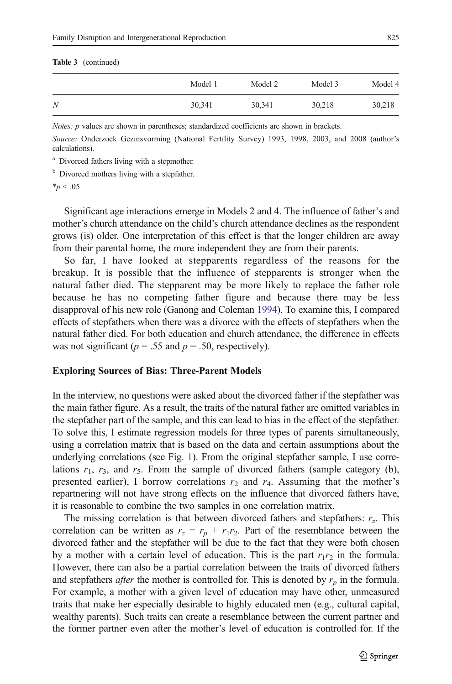| <b>Table 3</b> (continued) |  |
|----------------------------|--|
|----------------------------|--|

|   | Model 1 | Model 2 | Model 3 | Model 4 |
|---|---------|---------|---------|---------|
| N | 30,341  | 30,341  | 30,218  | 30,218  |

Notes: p values are shown in parentheses; standardized coefficients are shown in brackets.

Source: Onderzoek Gezinsvorming (National Fertility Survey) 1993, 1998, 2003, and 2008 (author's calculations).

<sup>a</sup> Divorced fathers living with a stepmother.

**b** Divorced mothers living with a stepfather.

 $*_p$  < .05

Significant age interactions emerge in Models 2 and 4. The influence of father's and mother's church attendance on the child's church attendance declines as the respondent grows (is) older. One interpretation of this effect is that the longer children are away from their parental home, the more independent they are from their parents.

So far, I have looked at stepparents regardless of the reasons for the breakup. It is possible that the influence of stepparents is stronger when the natural father died. The stepparent may be more likely to replace the father role because he has no competing father figure and because there may be less disapproval of his new role (Ganong and Coleman [1994\)](#page-21-0). To examine this, I compared effects of stepfathers when there was a divorce with the effects of stepfathers when the natural father died. For both education and church attendance, the difference in effects was not significant ( $p = .55$  and  $p = .50$ , respectively).

### Exploring Sources of Bias: Three-Parent Models

In the interview, no questions were asked about the divorced father if the stepfather was the main father figure. As a result, the traits of the natural father are omitted variables in the stepfather part of the sample, and this can lead to bias in the effect of the stepfather. To solve this, I estimate regression models for three types of parents simultaneously, using a correlation matrix that is based on the data and certain assumptions about the underlying correlations (see Fig. [1](#page-15-0)). From the original stepfather sample, I use correlations  $r_1$ ,  $r_3$ , and  $r_5$ . From the sample of divorced fathers (sample category (b), presented earlier), I borrow correlations  $r_2$  and  $r_4$ . Assuming that the mother's repartnering will not have strong effects on the influence that divorced fathers have, it is reasonable to combine the two samples in one correlation matrix.

The missing correlation is that between divorced fathers and stepfathers:  $r<sub>z</sub>$ . This correlation can be written as  $r_z = r_p + r_1r_2$ . Part of the resemblance between the divorced father and the stepfather will be due to the fact that they were both chosen by a mother with a certain level of education. This is the part  $r_1r_2$  in the formula. However, there can also be a partial correlation between the traits of divorced fathers and stepfathers *after* the mother is controlled for. This is denoted by  $r_p$  in the formula. For example, a mother with a given level of education may have other, unmeasured traits that make her especially desirable to highly educated men (e.g., cultural capital, wealthy parents). Such traits can create a resemblance between the current partner and the former partner even after the mother's level of education is controlled for. If the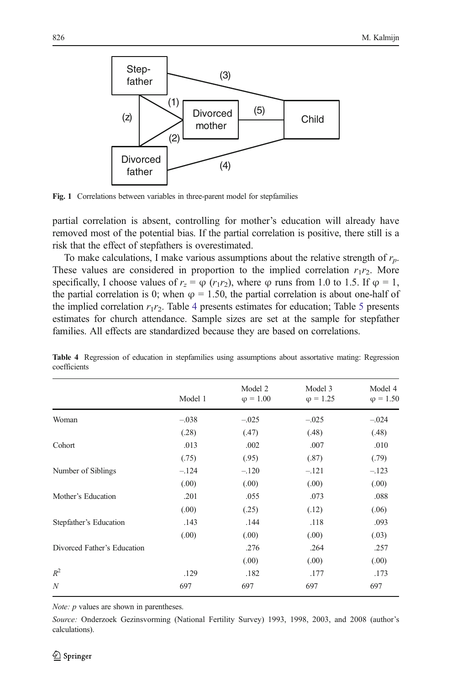<span id="page-15-0"></span>

Fig. 1 Correlations between variables in three-parent model for stepfamilies

partial correlation is absent, controlling for mother's education will already have removed most of the potential bias. If the partial correlation is positive, there still is a risk that the effect of stepfathers is overestimated.

To make calculations, I make various assumptions about the relative strength of  $r_p$ . These values are considered in proportion to the implied correlation  $r_1r_2$ . More specifically, I choose values of  $r_z = \varphi(r_1 r_2)$ , where  $\varphi$  runs from 1.0 to 1.5. If  $\varphi = 1$ , the partial correlation is 0; when  $\varphi = 1.50$ , the partial correlation is about one-half of the implied correlation  $r_1r_2$ . Table 4 presents estimates for education; Table [5](#page-16-0) presents estimates for church attendance. Sample sizes are set at the sample for stepfather families. All effects are standardized because they are based on correlations.

|                             | Model 1 | Model 2<br>$\varphi = 1.00$ | Model 3<br>$\varphi = 1.25$ | Model 4<br>$\varphi = 1.50$ |
|-----------------------------|---------|-----------------------------|-----------------------------|-----------------------------|
| Woman                       | $-.038$ | $-.025$                     | $-.025$                     | $-.024$                     |
|                             | (.28)   | (.47)                       | (.48)                       | (.48)                       |
| Cohort                      | .013    | .002                        | .007                        | .010                        |
|                             | (.75)   | (.95)                       | (.87)                       | (.79)                       |
| Number of Siblings          | $-.124$ | $-.120$                     | $-.121$                     | $-.123$                     |
|                             | (0.00)  | (.00)                       | (.00)                       | (.00)                       |
| Mother's Education          | .201    | .055                        | .073                        | .088                        |
|                             | (.00)   | (.25)                       | (.12)                       | (.06)                       |
| Stepfather's Education      | .143    | .144                        | .118                        | .093                        |
|                             | (.00)   | (.00)                       | (.00)                       | (.03)                       |
| Divorced Father's Education |         | .276                        | .264                        | .257                        |
|                             |         | (.00)                       | (.00)                       | (0.00)                      |
| $R^2$                       | .129    | .182                        | .177                        | .173                        |
| N                           | 697     | 697                         | 697                         | 697                         |

Table 4 Regression of education in stepfamilies using assumptions about assortative mating: Regression coefficients

Note: *p* values are shown in parentheses.

Source: Onderzoek Gezinsvorming (National Fertility Survey) 1993, 1998, 2003, and 2008 (author's calculations).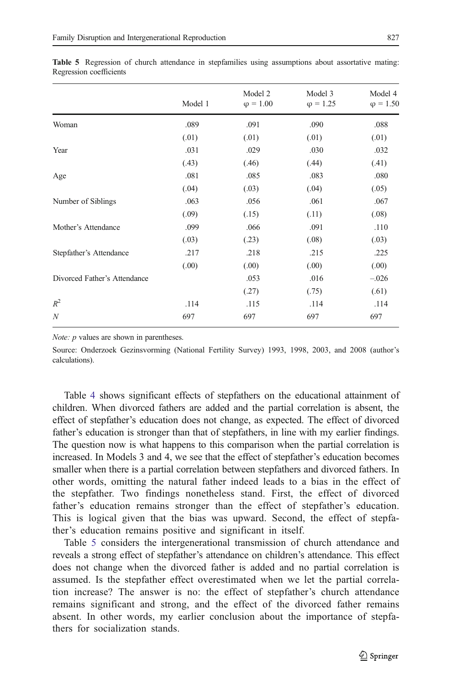|                              | Model 1 | Model 2<br>$\varphi = 1.00$ | Model 3<br>$\varphi = 1.25$ | Model 4<br>$\varphi = 1.50$ |
|------------------------------|---------|-----------------------------|-----------------------------|-----------------------------|
| Woman                        | .089    | .091                        | .090                        | .088                        |
|                              | (.01)   | (.01)                       | (.01)                       | (.01)                       |
| Year                         | .031    | .029                        | .030                        | .032                        |
|                              | (.43)   | (.46)                       | (.44)                       | (.41)                       |
| Age                          | .081    | .085                        | .083                        | .080                        |
|                              | (.04)   | (.03)                       | (.04)                       | (.05)                       |
| Number of Siblings           | .063    | .056                        | .061                        | .067                        |
|                              | (.09)   | (.15)                       | (.11)                       | (.08)                       |
| Mother's Attendance          | .099    | .066                        | .091                        | .110                        |
|                              | (.03)   | (.23)                       | (.08)                       | (.03)                       |
| Stepfather's Attendance      | .217    | .218                        | .215                        | .225                        |
|                              | (.00)   | (.00)                       | (.00)                       | (.00)                       |
| Divorced Father's Attendance |         | .053                        | .016                        | $-.026$                     |
|                              |         | (.27)                       | (.75)                       | (.61)                       |
| $R^2$                        | .114    | .115                        | .114                        | .114                        |
| N                            | 697     | 697                         | 697                         | 697                         |

<span id="page-16-0"></span>Table 5 Regression of church attendance in stepfamilies using assumptions about assortative mating: Regression coefficients

Note: *p* values are shown in parentheses.

Source: Onderzoek Gezinsvorming (National Fertility Survey) 1993, 1998, 2003, and 2008 (author's calculations).

Table [4](#page-15-0) shows significant effects of stepfathers on the educational attainment of children. When divorced fathers are added and the partial correlation is absent, the effect of stepfather's education does not change, as expected. The effect of divorced father's education is stronger than that of stepfathers, in line with my earlier findings. The question now is what happens to this comparison when the partial correlation is increased. In Models 3 and 4, we see that the effect of stepfather's education becomes smaller when there is a partial correlation between stepfathers and divorced fathers. In other words, omitting the natural father indeed leads to a bias in the effect of the stepfather. Two findings nonetheless stand. First, the effect of divorced father's education remains stronger than the effect of stepfather's education. This is logical given that the bias was upward. Second, the effect of stepfather's education remains positive and significant in itself.

Table 5 considers the intergenerational transmission of church attendance and reveals a strong effect of stepfather's attendance on children's attendance. This effect does not change when the divorced father is added and no partial correlation is assumed. Is the stepfather effect overestimated when we let the partial correlation increase? The answer is no: the effect of stepfather's church attendance remains significant and strong, and the effect of the divorced father remains absent. In other words, my earlier conclusion about the importance of stepfathers for socialization stands.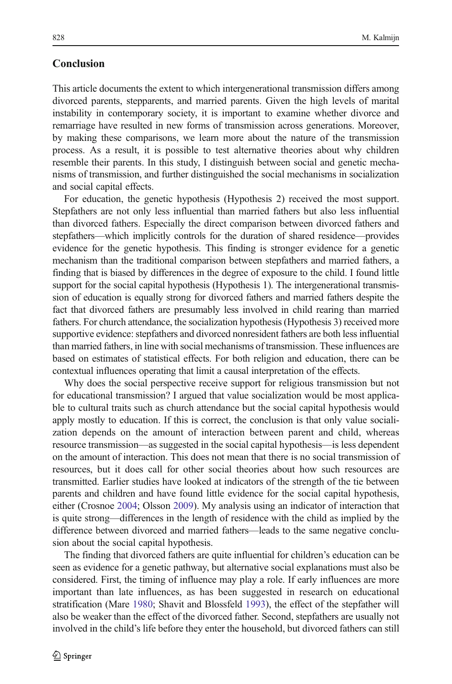### Conclusion

This article documents the extent to which intergenerational transmission differs among divorced parents, stepparents, and married parents. Given the high levels of marital instability in contemporary society, it is important to examine whether divorce and remarriage have resulted in new forms of transmission across generations. Moreover, by making these comparisons, we learn more about the nature of the transmission process. As a result, it is possible to test alternative theories about why children resemble their parents. In this study, I distinguish between social and genetic mechanisms of transmission, and further distinguished the social mechanisms in socialization and social capital effects.

For education, the genetic hypothesis (Hypothesis 2) received the most support. Stepfathers are not only less influential than married fathers but also less influential than divorced fathers. Especially the direct comparison between divorced fathers and stepfathers—which implicitly controls for the duration of shared residence—provides evidence for the genetic hypothesis. This finding is stronger evidence for a genetic mechanism than the traditional comparison between stepfathers and married fathers, a finding that is biased by differences in the degree of exposure to the child. I found little support for the social capital hypothesis (Hypothesis 1). The intergenerational transmission of education is equally strong for divorced fathers and married fathers despite the fact that divorced fathers are presumably less involved in child rearing than married fathers. For church attendance, the socialization hypothesis (Hypothesis 3) received more supportive evidence: stepfathers and divorced nonresident fathers are both less influential than married fathers, in line with social mechanisms of transmission. These influences are based on estimates of statistical effects. For both religion and education, there can be contextual influences operating that limit a causal interpretation of the effects.

Why does the social perspective receive support for religious transmission but not for educational transmission? I argued that value socialization would be most applicable to cultural traits such as church attendance but the social capital hypothesis would apply mostly to education. If this is correct, the conclusion is that only value socialization depends on the amount of interaction between parent and child, whereas resource transmission—as suggested in the social capital hypothesis—is less dependent on the amount of interaction. This does not mean that there is no social transmission of resources, but it does call for other social theories about how such resources are transmitted. Earlier studies have looked at indicators of the strength of the tie between parents and children and have found little evidence for the social capital hypothesis, either (Crosnoe [2004](#page-20-0); Olsson [2009](#page-22-0)). My analysis using an indicator of interaction that is quite strong—differences in the length of residence with the child as implied by the difference between divorced and married fathers—leads to the same negative conclusion about the social capital hypothesis.

The finding that divorced fathers are quite influential for children's education can be seen as evidence for a genetic pathway, but alternative social explanations must also be considered. First, the timing of influence may play a role. If early influences are more important than late influences, as has been suggested in research on educational stratification (Mare [1980;](#page-21-0) Shavit and Blossfeld [1993](#page-22-0)), the effect of the stepfather will also be weaker than the effect of the divorced father. Second, stepfathers are usually not involved in the child's life before they enter the household, but divorced fathers can still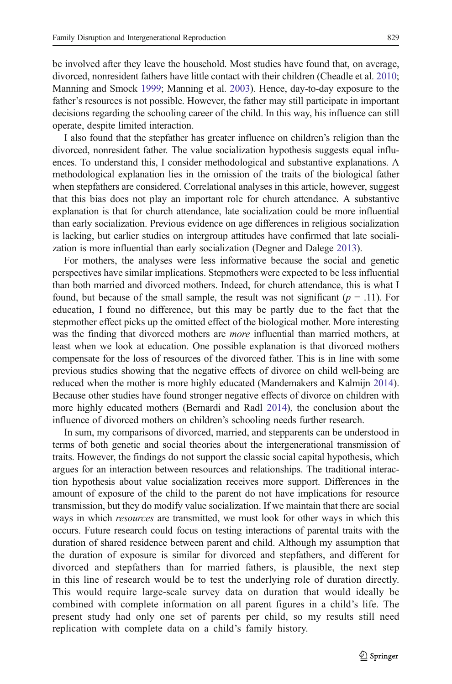be involved after they leave the household. Most studies have found that, on average, divorced, nonresident fathers have little contact with their children (Cheadle et al. [2010;](#page-20-0) Manning and Smock [1999;](#page-21-0) Manning et al. [2003](#page-21-0)). Hence, day-to-day exposure to the father's resources is not possible. However, the father may still participate in important decisions regarding the schooling career of the child. In this way, his influence can still operate, despite limited interaction.

I also found that the stepfather has greater influence on children's religion than the divorced, nonresident father. The value socialization hypothesis suggests equal influences. To understand this, I consider methodological and substantive explanations. A methodological explanation lies in the omission of the traits of the biological father when stepfathers are considered. Correlational analyses in this article, however, suggest that this bias does not play an important role for church attendance. A substantive explanation is that for church attendance, late socialization could be more influential than early socialization. Previous evidence on age differences in religious socialization is lacking, but earlier studies on intergroup attitudes have confirmed that late socialization is more influential than early socialization (Degner and Dalege [2013\)](#page-20-0).

For mothers, the analyses were less informative because the social and genetic perspectives have similar implications. Stepmothers were expected to be less influential than both married and divorced mothers. Indeed, for church attendance, this is what I found, but because of the small sample, the result was not significant ( $p = .11$ ). For education, I found no difference, but this may be partly due to the fact that the stepmother effect picks up the omitted effect of the biological mother. More interesting was the finding that divorced mothers are more influential than married mothers, at least when we look at education. One possible explanation is that divorced mothers compensate for the loss of resources of the divorced father. This is in line with some previous studies showing that the negative effects of divorce on child well-being are reduced when the mother is more highly educated (Mandemakers and Kalmijn [2014\)](#page-21-0). Because other studies have found stronger negative effects of divorce on children with more highly educated mothers (Bernardi and Radl [2014](#page-20-0)), the conclusion about the influence of divorced mothers on children's schooling needs further research.

In sum, my comparisons of divorced, married, and stepparents can be understood in terms of both genetic and social theories about the intergenerational transmission of traits. However, the findings do not support the classic social capital hypothesis, which argues for an interaction between resources and relationships. The traditional interaction hypothesis about value socialization receives more support. Differences in the amount of exposure of the child to the parent do not have implications for resource transmission, but they do modify value socialization. If we maintain that there are social ways in which resources are transmitted, we must look for other ways in which this occurs. Future research could focus on testing interactions of parental traits with the duration of shared residence between parent and child. Although my assumption that the duration of exposure is similar for divorced and stepfathers, and different for divorced and stepfathers than for married fathers, is plausible, the next step in this line of research would be to test the underlying role of duration directly. This would require large-scale survey data on duration that would ideally be combined with complete information on all parent figures in a child's life. The present study had only one set of parents per child, so my results still need replication with complete data on a child's family history.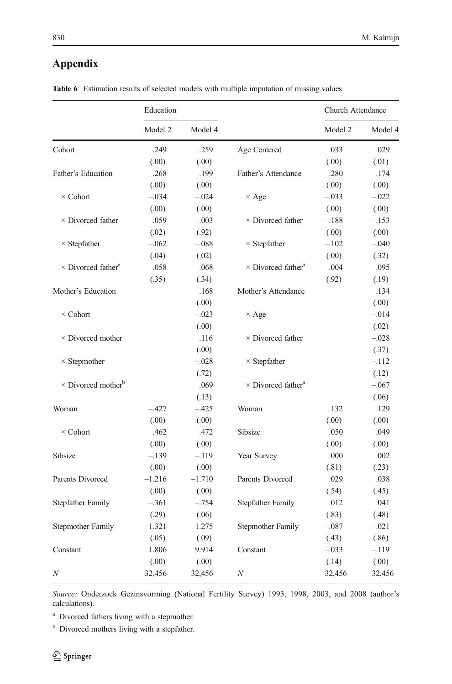## <span id="page-19-0"></span>Appendix

|                                       | Education |          |                                       | Church Attendance |         |
|---------------------------------------|-----------|----------|---------------------------------------|-------------------|---------|
|                                       | Model 2   | Model 4  |                                       | Model 2           | Model 4 |
| Cohort                                | .249      | .259     | Age Centered                          | .033              | .029    |
|                                       | (.00)     | (.00)    |                                       | (.00)             | (.01)   |
| Father's Education                    | .268      | .199     | Father's Attendance                   | .280              | .174    |
|                                       | (.00)     | (.00)    |                                       | (0.00)            | (.00)   |
| $\times$ Cohort                       | $-.034$   | $-.024$  | $\times$ Age                          | $-.033$           | $-.022$ |
|                                       | (.00)     | (.00)    |                                       | (0.00)            | (.00)   |
| $\times$ Divorced father              | .059      | $-.003$  | $\times$ Divorced father              | $-.188$           | $-.153$ |
|                                       | (.02)     | (.92)    |                                       | (0.00)            | (.00)   |
| $\times$ Stepfather                   | $-.062$   | $-.088$  | $\times$ Stepfather                   | $-.102$           | $-.040$ |
|                                       | (.04)     | (.02)    |                                       | (.00)             | (.32)   |
| $\times$ Divorced father <sup>a</sup> | .058      | .068     | $\times$ Divorced father <sup>a</sup> | .004              | .095    |
|                                       | (.35)     | (.34)    |                                       | (.92)             | (.19)   |
| Mother's Education                    |           | .168     | Mother's Attendance                   |                   | .134    |
|                                       |           | (.00)    |                                       |                   | (.00)   |
| $\times$ Cohort                       |           | $-.023$  | $\times$ Age                          |                   | $-.014$ |
|                                       |           | (.00)    |                                       |                   | (.02)   |
| $\times$ Divorced mother              |           | .116     | $\times$ Divorced father              |                   | $-.028$ |
|                                       |           | (.00)    |                                       |                   | (.37)   |
| $\times$ Stepmother                   |           | $-.028$  | $\times$ Stepfather                   |                   | $-.112$ |
|                                       |           | (.72)    |                                       |                   | (.12)   |
| $\times$ Divorced mother <sup>b</sup> |           | .069     | $\times$ Divorced father <sup>a</sup> |                   | $-.067$ |
|                                       |           | (.13)    |                                       |                   | (.06)   |
| Woman                                 | $-.427$   | $-.425$  | Woman                                 | .132              | .129    |
|                                       | (.00)     | (.00)    |                                       | (.00)             | (.00)   |
| $\times$ Cohort                       | .462      | .472     | Sibsize                               | .050              | .049    |
|                                       | (.00)     | (.00)    |                                       | (.00)             | (.00)   |
| Sibsize                               | $-.139$   | $-.119$  | Year Survey                           | .000              | .002    |
|                                       | (.00)     | (.00)    |                                       | (.81)             | (.23)   |
| Parents Divorced                      | $-1.216$  | $-1.710$ | Parents Divorced                      | .029              | .038    |
|                                       | (.00)     | (.00)    |                                       | (.54)             | (.45)   |
| Stepfather Family                     | $-.361$   | $-.754$  | <b>Stepfather Family</b>              | .012              | .041    |
|                                       | (.29)     | (.06)    |                                       | (.83)             | (.48)   |
| <b>Stepmother Family</b>              | $-1.321$  | $-1.275$ | <b>Stepmother Family</b>              | $-.087$           | $-.021$ |
|                                       | (.05)     | (.09)    |                                       | (.43)             | (.86)   |
| Constant                              | 1.806     | 9.914    | Constant                              | $-.033$           | $-.119$ |
|                                       | (.00)     | (.00)    |                                       | (.14)             | (.00)   |
| N                                     | 32,456    | 32,456   | N                                     | 32,456            | 32,456  |

Table 6 Estimation results of selected models with multiple imputation of missing values

Source: Onderzoek Gezinsvorming (National Fertility Survey) 1993, 1998, 2003, and 2008 (author's calculations).

<sup>a</sup> Divorced fathers living with a stepmother.

<sup>b</sup> Divorced mothers living with a stepfather.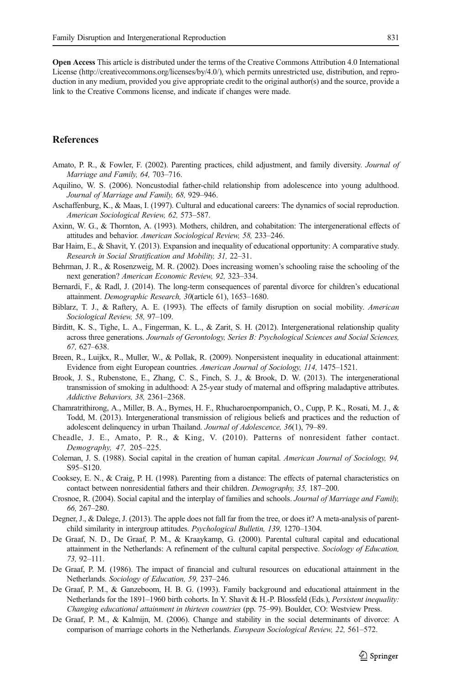<span id="page-20-0"></span>Open Access This article is distributed under the terms of the Creative Commons Attribution 4.0 International License (http://creativecommons.org/licenses/by/4.0/), which permits unrestricted use, distribution, and reproduction in any medium, provided you give appropriate credit to the original author(s) and the source, provide a link to the Creative Commons license, and indicate if changes were made.

### References

- Amato, P. R., & Fowler, F. (2002). Parenting practices, child adjustment, and family diversity. Journal of Marriage and Family, 64, 703–716.
- Aquilino, W. S. (2006). Noncustodial father-child relationship from adolescence into young adulthood. Journal of Marriage and Family, 68, 929–946.
- Aschaffenburg, K., & Maas, I. (1997). Cultural and educational careers: The dynamics of social reproduction. American Sociological Review, 62, 573–587.
- Axinn, W. G., & Thornton, A. (1993). Mothers, children, and cohabitation: The intergenerational effects of attitudes and behavior. American Sociological Review, 58, 233–246.
- Bar Haim, E., & Shavit, Y. (2013). Expansion and inequality of educational opportunity: A comparative study. Research in Social Stratification and Mobility, 31, 22–31.
- Behrman, J. R., & Rosenzweig, M. R. (2002). Does increasing women's schooling raise the schooling of the next generation? American Economic Review, 92, 323–334.
- Bernardi, F., & Radl, J. (2014). The long-term consequences of parental divorce for children's educational attainment. Demographic Research, 30(article 61), 1653–1680.
- Biblarz, T. J., & Raftery, A. E. (1993). The effects of family disruption on social mobility. American Sociological Review, 58, 97–109.
- Birditt, K. S., Tighe, L. A., Fingerman, K. L., & Zarit, S. H. (2012). Intergenerational relationship quality across three generations. Journals of Gerontology, Series B: Psychological Sciences and Social Sciences, 67, 627–638.
- Breen, R., Luijkx, R., Muller, W., & Pollak, R. (2009). Nonpersistent inequality in educational attainment: Evidence from eight European countries. American Journal of Sociology, 114, 1475–1521.
- Brook, J. S., Rubenstone, E., Zhang, C. S., Finch, S. J., & Brook, D. W. (2013). The intergenerational transmission of smoking in adulthood: A 25-year study of maternal and offspring maladaptive attributes. Addictive Behaviors, 38, 2361–2368.
- Chamratrithirong, A., Miller, B. A., Byrnes, H. F., Rhucharoenpornpanich, O., Cupp, P. K., Rosati, M. J., & Todd, M. (2013). Intergenerational transmission of religious beliefs and practices and the reduction of adolescent delinquency in urban Thailand. Journal of Adolescence, 36(1), 79–89.
- Cheadle, J. E., Amato, P. R., & King, V. (2010). Patterns of nonresident father contact. Demography, 47, 205–225.
- Coleman, J. S. (1988). Social capital in the creation of human capital. American Journal of Sociology, 94, S95–S120.
- Cooksey, E. N., & Craig, P. H. (1998). Parenting from a distance: The effects of paternal characteristics on contact between nonresidential fathers and their children. Demography, 35, 187–200.
- Crosnoe, R. (2004). Social capital and the interplay of families and schools. Journal of Marriage and Family, 66, 267–280.
- Degner, J., & Dalege, J. (2013). The apple does not fall far from the tree, or does it? A meta-analysis of parentchild similarity in intergroup attitudes. Psychological Bulletin, 139, 1270–1304.
- De Graaf, N. D., De Graaf, P. M., & Kraaykamp, G. (2000). Parental cultural capital and educational attainment in the Netherlands: A refinement of the cultural capital perspective. Sociology of Education, 73, 92–111.
- De Graaf, P. M. (1986). The impact of financial and cultural resources on educational attainment in the Netherlands. Sociology of Education, 59, 237–246.
- De Graaf, P. M., & Ganzeboom, H. B. G. (1993). Family background and educational attainment in the Netherlands for the 1891–1960 birth cohorts. In Y. Shavit & H.-P. Blossfeld (Eds.), *Persistent inequality:* Changing educational attainment in thirteen countries (pp. 75–99). Boulder, CO: Westview Press.
- De Graaf, P. M., & Kalmijn, M. (2006). Change and stability in the social determinants of divorce: A comparison of marriage cohorts in the Netherlands. European Sociological Review, 22, 561–572.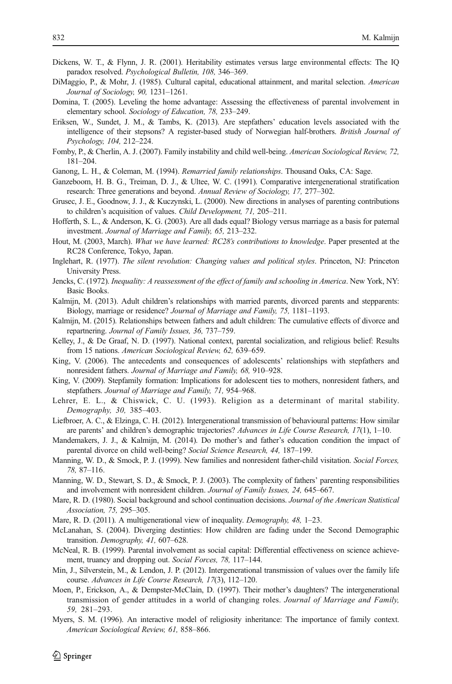- <span id="page-21-0"></span>Dickens, W. T., & Flynn, J. R. (2001). Heritability estimates versus large environmental effects: The IQ paradox resolved. Psychological Bulletin, 108, 346–369.
- DiMaggio, P., & Mohr, J. (1985). Cultural capital, educational attainment, and marital selection. American Journal of Sociology, 90, 1231–1261.
- Domina, T. (2005). Leveling the home advantage: Assessing the effectiveness of parental involvement in elementary school. Sociology of Education, 78, 233–249.
- Eriksen, W., Sundet, J. M., & Tambs, K. (2013). Are stepfathers' education levels associated with the intelligence of their stepsons? A register-based study of Norwegian half-brothers. British Journal of Psychology, 104, 212–224.
- Fomby, P., & Cherlin, A. J. (2007). Family instability and child well-being. American Sociological Review, 72, 181–204.
- Ganong, L. H., & Coleman, M. (1994). Remarried family relationships. Thousand Oaks, CA: Sage.
- Ganzeboom, H. B. G., Treiman, D. J., & Ultee, W. C. (1991). Comparative intergenerational stratification research: Three generations and beyond. Annual Review of Sociology, 17, 277–302.
- Grusec, J. E., Goodnow, J. J., & Kuczynski, L. (2000). New directions in analyses of parenting contributions to children's acquisition of values. Child Development, 71, 205–211.
- Hofferth, S. L., & Anderson, K. G. (2003). Are all dads equal? Biology versus marriage as a basis for paternal investment. Journal of Marriage and Family, 65, 213–232.
- Hout, M. (2003, March). What we have learned: RC28's contributions to knowledge. Paper presented at the RC28 Conference, Tokyo, Japan.
- Inglehart, R. (1977). The silent revolution: Changing values and political styles. Princeton, NJ: Princeton University Press.
- Jencks, C. (1972). Inequality: A reassessment of the effect of family and schooling in America. New York, NY: Basic Books.
- Kalmijn, M. (2013). Adult children's relationships with married parents, divorced parents and stepparents: Biology, marriage or residence? Journal of Marriage and Family, 75, 1181–1193.
- Kalmijn, M. (2015). Relationships between fathers and adult children: The cumulative effects of divorce and repartnering. Journal of Family Issues, 36, 737–759.
- Kelley, J., & De Graaf, N. D. (1997). National context, parental socialization, and religious belief: Results from 15 nations. American Sociological Review, 62, 639–659.
- King, V. (2006). The antecedents and consequences of adolescents' relationships with stepfathers and nonresident fathers. Journal of Marriage and Family, 68, 910–928.
- King, V. (2009). Stepfamily formation: Implications for adolescent ties to mothers, nonresident fathers, and stepfathers. Journal of Marriage and Family, 71, 954–968.
- Lehrer, E. L., & Chiswick, C. U. (1993). Religion as a determinant of marital stability. Demography, 30, 385–403.
- Liefbroer, A. C., & Elzinga, C. H. (2012). Intergenerational transmission of behavioural patterns: How similar are parents' and children's demographic trajectories? Advances in Life Course Research, 17(1), 1–10.
- Mandemakers, J. J., & Kalmijn, M. (2014). Do mother's and father's education condition the impact of parental divorce on child well-being? Social Science Research, 44, 187–199.
- Manning, W. D., & Smock, P. J. (1999). New families and nonresident father-child visitation. Social Forces, 78, 87–116.
- Manning, W. D., Stewart, S. D., & Smock, P. J. (2003). The complexity of fathers' parenting responsibilities and involvement with nonresident children. Journal of Family Issues, 24, 645–667.
- Mare, R. D. (1980). Social background and school continuation decisions. Journal of the American Statistical Association, 75, 295–305.
- Mare, R. D. (2011). A multigenerational view of inequality. *Demography*, 48, 1–23.
- McLanahan, S. (2004). Diverging destinties: How children are fading under the Second Demographic transition. Demography, 41, 607–628.
- McNeal, R. B. (1999). Parental involvement as social capital: Differential effectiveness on science achievement, truancy and dropping out. Social Forces, 78, 117–144.
- Min, J., Silverstein, M., & Lendon, J. P. (2012). Intergenerational transmission of values over the family life course. Advances in Life Course Research, 17(3), 112–120.
- Moen, P., Erickson, A., & Dempster-McClain, D. (1997). Their mother's daughters? The intergenerational transmission of gender attitudes in a world of changing roles. Journal of Marriage and Family, 59, 281–293.
- Myers, S. M. (1996). An interactive model of religiosity inheritance: The importance of family context. American Sociological Review, 61, 858–866.